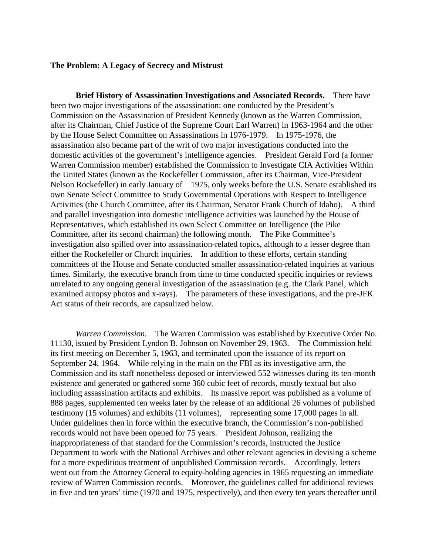## **The Problem: A Legacy of Secrecy and Mistrust**

**Brief History of Assassination Investigations and Associated Records.** There have been two major investigations of the assassination: one conducted by the President's Commission on the Assassination of President Kennedy (known as the Warren Commission, after its Chairman, Chief Justice of the Supreme Court Earl Warren) in 1963-1964 and the other by the House Select Committee on Assassinations in 1976-1979. In 1975-1976, the assassination also became part of the writ of two major investigations conducted into the domestic activities of the government's intelligence agencies. President Gerald Ford (a former Warren Commission member) established the Commission to Investigate CIA Activities Within the United States (known as the Rockefeller Commission, after its Chairman, Vice-President Nelson Rockefeller) in early January of 1975, only weeks before the U.S. Senate established its own Senate Select Committee to Study Governmental Operations with Respect to Intelligence Activities (the Church Committee, after its Chairman, Senator Frank Church of Idaho). A third and parallel investigation into domestic intelligence activities was launched by the House of Representatives, which established its own Select Committee on Intelligence (the Pike Committee, after its second chairman) the following month. The Pike Committee's investigation also spilled over into assassination-related topics, although to a lesser degree than either the Rockefeller or Church inquiries. In addition to these efforts, certain standing committees of the House and Senate conducted smaller assassination-related inquiries at various times. Similarly, the executive branch from time to time conducted specific inquiries or reviews unrelated to any ongoing general investigation of the assassination (e.g. the Clark Panel, which examined autopsy photos and x-rays). The parameters of these investigations, and the pre-JFK Act status of their records, are capsulized below.

*Warren Commission.* The Warren Commission was established by Executive Order No. 11130, issued by President Lyndon B. Johnson on November 29, 1963. The Commission held its first meeting on December 5, 1963, and terminated upon the issuance of its report on September 24, 1964. While relying in the main on the FBI as its investigative arm, the Commission and its staff nonetheless deposed or interviewed 552 witnesses during its ten-month existence and generated or gathered some 360 cubic feet of records, mostly textual but also including assassination artifacts and exhibits. Its massive report was published as a volume of 888 pages, supplemented ten weeks later by the release of an additional 26 volumes of published testimony (15 volumes) and exhibits (11 volumes), representing some 17,000 pages in all. Under guidelines then in force within the executive branch, the Commission's non-published records would not have been opened for 75 years. President Johnson, realizing the inappropriateness of that standard for the Commission's records, instructed the Justice Department to work with the National Archives and other relevant agencies in devising a scheme for a more expeditious treatment of unpublished Commission records. Accordingly, letters went out from the Attorney General to equity-holding agencies in 1965 requesting an immediate review of Warren Commission records. Moreover, the guidelines called for additional reviews in five and ten years' time (1970 and 1975, respectively), and then every ten years thereafter until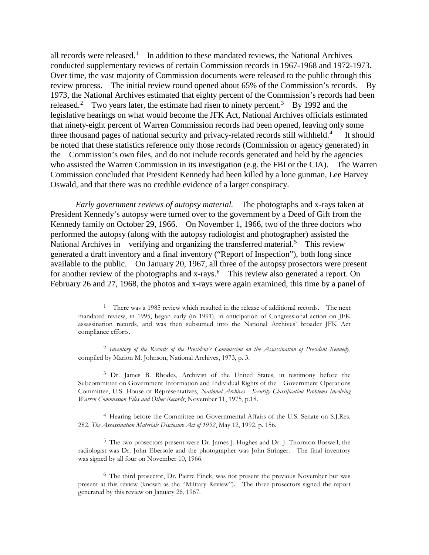all records were released.<sup>[1](#page-1-0)</sup> In addition to these mandated reviews, the National Archives conducted supplementary reviews of certain Commission records in 1967-1968 and 1972-1973. Over time, the vast majority of Commission documents were released to the public through this review process. The initial review round opened about 65% of the Commission's records. By 1973, the National Archives estimated that eighty percent of the Commission's records had been released.<sup>[2](#page-1-1)</sup> Two years later, the estimate had risen to ninety percent.<sup>[3](#page-1-2)</sup> By 1992 and the legislative hearings on what would become the JFK Act, National Archives officials estimated that ninety-eight percent of Warren Commission records had been opened, leaving only some three thousand pages of national security and privacy-related records still withheld.<sup>[4](#page-1-3)</sup> It should be noted that these statistics reference only those records (Commission or agency generated) in the Commission's own files, and do not include records generated and held by the agencies who assisted the Warren Commission in its investigation (e.g. the FBI or the CIA). The Warren Commission concluded that President Kennedy had been killed by a lone gunman, Lee Harvey Oswald, and that there was no credible evidence of a larger conspiracy.

*Early government reviews of autopsy material.* The photographs and x-rays taken at President Kennedy's autopsy were turned over to the government by a Deed of Gift from the Kennedy family on October 29, 1966. On November 1, 1966, two of the three doctors who performed the autopsy (along with the autopsy radiologist and photographer) assisted the National Archives in verifying and organizing the transferred material.<sup>[5](#page-1-4)</sup> This review generated a draft inventory and a final inventory ("Report of Inspection"), both long since available to the public. On January 20, 1967, all three of the autopsy prosectors were present for another review of the photographs and x-rays.<sup>[6](#page-1-5)</sup> This review also generated a report. On February 26 and 27, 1968, the photos and x-rays were again examined, this time by a panel of

<span id="page-1-0"></span><sup>&</sup>lt;sup>1</sup> There was a 1985 review which resulted in the release of additional records. The next mandated review, in 1995, began early (in 1991), in anticipation of Congressional action on JFK assassination records, and was then subsumed into the National Archives' broader JFK Act compliance efforts.

<span id="page-1-1"></span><sup>2</sup> *Inventory of the Records of the President's Commission on the Assassination of President Kennedy*, compiled by Marion M. Johnson, National Archives, 1973, p. 3.

<span id="page-1-2"></span><sup>3</sup> Dr. James B. Rhodes, Archivist of the United States, in testimony before the Subcommittee on Government Information and Individual Rights of the Government Operations Committee, U.S. House of Representatives, *National Archives - Security Classification Problems Involving Warren Commission Files and Other Records*, November 11, 1975, p.18.

<span id="page-1-3"></span><sup>4</sup> Hearing before the Committee on Governmental Affairs of the U.S. Senate on S.J.Res. 282, *The Assassination Materials Disclosure Act of 1992*, May 12, 1992, p. 156.

<span id="page-1-4"></span><sup>5</sup> The two prosectors present were Dr. James J. Hughes and Dr. J. Thornton Boswell; the radiologist was Dr. John Ebersole and the photographer was John Stringer. The final inventory was signed by all four on November 10, 1966.

<span id="page-1-5"></span><sup>6</sup> The third prosector, Dr. Pierre Finck, was not present the previous November but was present at this review (known as the "Military Review"). The three prosectors signed the report generated by this review on January 26, 1967.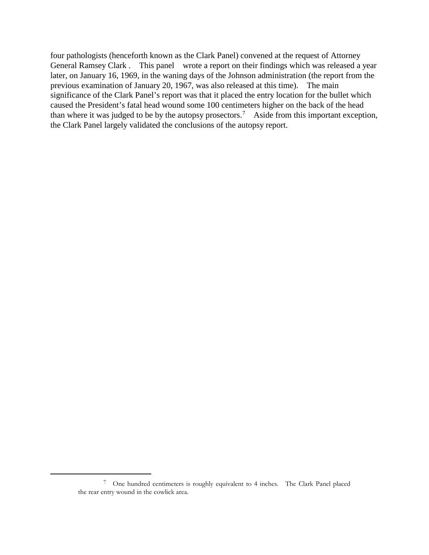four pathologists (henceforth known as the Clark Panel) convened at the request of Attorney General Ramsey Clark . This panel wrote a report on their findings which was released a year later, on January 16, 1969, in the waning days of the Johnson administration (the report from the previous examination of January 20, 1967, was also released at this time). The main significance of the Clark Panel's report was that it placed the entry location for the bullet which caused the President's fatal head wound some 100 centimeters higher on the back of the head than where it was judged to be by the autopsy prosectors.<sup>[7](#page-2-0)</sup> Aside from this important exception, the Clark Panel largely validated the conclusions of the autopsy report.

<span id="page-2-0"></span><sup>7</sup> One hundred centimeters is roughly equivalent to 4 inches. The Clark Panel placed the rear entry wound in the cowlick area.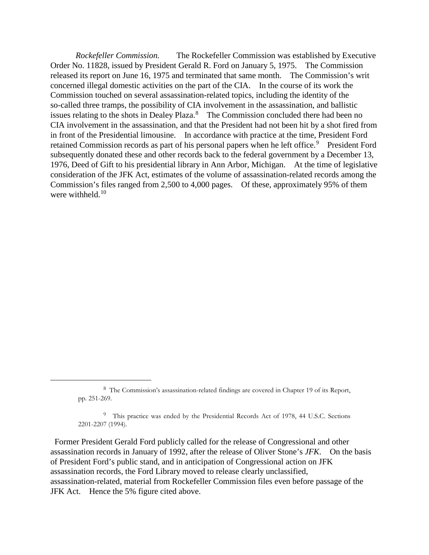*Rockefeller Commission.* The Rockefeller Commission was established by Executive Order No. 11828, issued by President Gerald R. Ford on January 5, 1975. The Commission released its report on June 16, 1975 and terminated that same month. The Commission's writ concerned illegal domestic activities on the part of the CIA. In the course of its work the Commission touched on several assassination-related topics, including the identity of the so-called three tramps, the possibility of CIA involvement in the assassination, and ballistic issues relating to the shots in Dealey Plaza.<sup>[8](#page-3-0)</sup> The Commission concluded there had been no CIA involvement in the assassination, and that the President had not been hit by a shot fired from in front of the Presidential limousine. In accordance with practice at the time, President Ford retained Commission records as part of his personal papers when he left office.<sup>[9](#page-3-1)</sup> President Ford subsequently donated these and other records back to the federal government by a December 13, 1976, Deed of Gift to his presidential library in Ann Arbor, Michigan. At the time of legislative consideration of the JFK Act, estimates of the volume of assassination-related records among the Commission's files ranged from 2,500 to 4,000 pages. Of these, approximately 95% of them were withheld. $10^{-10}$  $10^{-10}$ 

<span id="page-3-0"></span> $\overline{a}$ 

<span id="page-3-2"></span><span id="page-3-1"></span>Former President Gerald Ford publicly called for the release of Congressional and other assassination records in January of 1992, after the release of Oliver Stone's *JFK*. On the basis of President Ford's public stand, and in anticipation of Congressional action on JFK assassination records, the Ford Library moved to release clearly unclassified, assassination-related, material from Rockefeller Commission files even before passage of the JFK Act. Hence the 5% figure cited above.

<sup>8</sup> The Commission's assassination-related findings are covered in Chapter 19 of its Report, pp. 251-269.

<sup>&</sup>lt;sup>9</sup> This practice was ended by the Presidential Records Act of 1978, 44 U.S.C. Sections 2201-2207 (1994).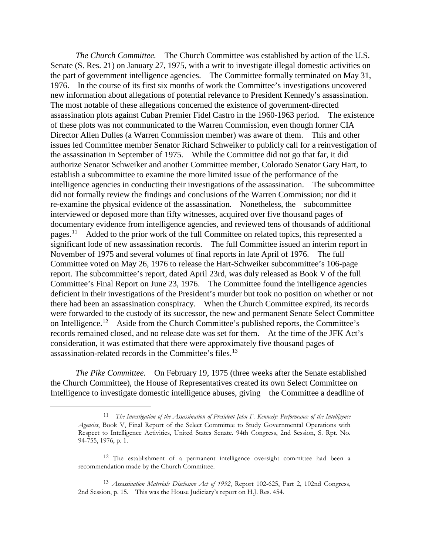*The Church Committee.* The Church Committee was established by action of the U.S. Senate (S. Res. 21) on January 27, 1975, with a writ to investigate illegal domestic activities on the part of government intelligence agencies. The Committee formally terminated on May 31, 1976. In the course of its first six months of work the Committee's investigations uncovered new information about allegations of potential relevance to President Kennedy's assassination. The most notable of these allegations concerned the existence of government-directed assassination plots against Cuban Premier Fidel Castro in the 1960-1963 period. The existence of these plots was not communicated to the Warren Commission, even though former CIA Director Allen Dulles (a Warren Commission member) was aware of them. This and other issues led Committee member Senator Richard Schweiker to publicly call for a reinvestigation of the assassination in September of 1975. While the Committee did not go that far, it did authorize Senator Schweiker and another Committee member, Colorado Senator Gary Hart, to establish a subcommittee to examine the more limited issue of the performance of the intelligence agencies in conducting their investigations of the assassination. The subcommittee did not formally review the findings and conclusions of the Warren Commission; nor did it re-examine the physical evidence of the assassination. Nonetheless, the subcommittee interviewed or deposed more than fifty witnesses, acquired over five thousand pages of documentary evidence from intelligence agencies, and reviewed tens of thousands of additional pages.<sup>11</sup> Added to the prior work of the full Committee on related topics, this represented a significant lode of new assassination records. The full Committee issued an interim report in November of 1975 and several volumes of final reports in late April of 1976. The full Committee voted on May 26, 1976 to release the Hart-Schweiker subcommittee's 106-page report. The subcommittee's report, dated April 23rd, was duly released as Book V of the full Committee's Final Report on June 23, 1976. The Committee found the intelligence agencies deficient in their investigations of the President's murder but took no position on whether or not there had been an assassination conspiracy. When the Church Committee expired, its records were forwarded to the custody of its successor, the new and permanent Senate Select Committee on Intelligence.<sup>12</sup> Aside from the Church Committee's published reports, the Committee's records remained closed, and no release date was set for them. At the time of the JFK Act's consideration, it was estimated that there were approximately five thousand pages of assassination-related records in the Committee's files.[13](#page-4-2)

<span id="page-4-0"></span>*The Pike Committee.* On February 19, 1975 (three weeks after the Senate established the Church Committee), the House of Representatives created its own Select Committee on Intelligence to investigate domestic intelligence abuses, giving the Committee a deadline of

<sup>11</sup> *The Investigation of the Assassination of President John F. Kennedy: Performance of the Intelligence Agencies*, Book V, Final Report of the Select Committee to Study Governmental Operations with Respect to Intelligence Activities, United States Senate. 94th Congress, 2nd Session, S. Rpt. No. 94-755, 1976, p. 1.

<span id="page-4-1"></span><sup>&</sup>lt;sup>12</sup> The establishment of a permanent intelligence oversight committee had been a recommendation made by the Church Committee.

<span id="page-4-2"></span><sup>13</sup> *Assassination Materials Disclosure Act of 1992*, Report 102-625, Part 2, 102nd Congress, 2nd Session, p. 15. This was the House Judiciary's report on H.J. Res. 454.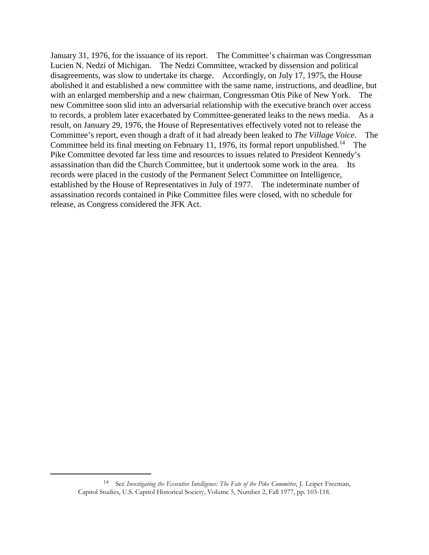January 31, 1976, for the issuance of its report. The Committee's chairman was Congressman Lucien N. Nedzi of Michigan. The Nedzi Committee, wracked by dissension and political disagreements, was slow to undertake its charge. Accordingly, on July 17, 1975, the House abolished it and established a new committee with the same name, instructions, and deadline, but with an enlarged membership and a new chairman, Congressman Otis Pike of New York. The new Committee soon slid into an adversarial relationship with the executive branch over access to records, a problem later exacerbated by Committee-generated leaks to the news media. As a result, on January 29, 1976, the House of Representatives effectively voted not to release the Committee's report, even though a draft of it had already been leaked to *The Village Voice*. The Committee held its final meeting on February 11, 1976, its formal report unpublished.<sup>14</sup> The Pike Committee devoted far less time and resources to issues related to President Kennedy's assassination than did the Church Committee, but it undertook some work in the area. Its records were placed in the custody of the Permanent Select Committee on Intelligence, established by the House of Representatives in July of 1977. The indeterminate number of assassination records contained in Pike Committee files were closed, with no schedule for release, as Congress considered the JFK Act.

<span id="page-5-0"></span><sup>14</sup> See *Investigating the Executive Intelligence: The Fate of the Pike Committee*, J. Leiper Freeman, Capitol Studies, U.S. Capitol Historical Society, Volume 5, Number 2, Fall 1977, pp. 103-118.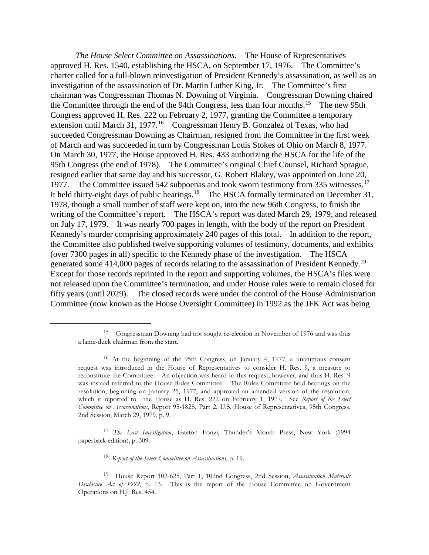*The House Select Committee on Assassinations.* The House of Representatives approved H. Res. 1540, establishing the HSCA, on September 17, 1976. The Committee's charter called for a full-blown reinvestigation of President Kennedy's assassination, as well as an investigation of the assassination of Dr. Martin Luther King, Jr. The Committee's first chairman was Congressman Thomas N. Downing of Virginia. Congressman Downing chaired the Committee through the end of the 94th Congress, less than four months.<sup>[15](#page-6-0)</sup> The new 95th Congress approved H. Res. 222 on February 2, 1977, granting the Committee a temporary extension until March 31, 1977.<sup>16</sup> Congressman Henry B. Gonzalez of Texas, who had succeeded Congressman Downing as Chairman, resigned from the Committee in the first week of March and was succeeded in turn by Congressman Louis Stokes of Ohio on March 8, 1977. On March 30, 1977, the House approved H. Res. 433 authorizing the HSCA for the life of the 95th Congress (the end of 1978). The Committee's original Chief Counsel, Richard Sprague, resigned earlier that same day and his successor, G. Robert Blakey, was appointed on June 20, 1977. The Committee issued 542 subpoenas and took sworn testimony from 335 witnesses.<sup>17</sup> It held thirty-eight days of public hearings.<sup>18</sup> The HSCA formally terminated on December 31, 1978, though a small number of staff were kept on, into the new 96th Congress, to finish the writing of the Committee's report. The HSCA's report was dated March 29, 1979, and released on July 17, 1979. It was nearly 700 pages in length, with the body of the report on President Kennedy's murder comprising approximately 240 pages of this total. In addition to the report, the Committee also published twelve supporting volumes of testimony, documents, and exhibits (over 7300 pages in all) specific to the Kennedy phase of the investigation. The HSCA generated some 414,000 pages of records relating to the assassination of President Kennedy.<sup>[19](#page-6-4)</sup> Except for those records reprinted in the report and supporting volumes, the HSCA's files were not released upon the Committee's termination, and under House rules were to remain closed for fifty years (until 2029). The closed records were under the control of the House Administration Committee (now known as the House Oversight Committee) in 1992 as the JFK Act was being

<span id="page-6-2"></span><sup>17</sup> *The Last Investigation*, Gaeton Fonzi, Thunder's Mouth Press, New York (1994 paperback edition), p. 309.

<sup>18</sup> *Report of the Select Committee on Assassinations*, p. 19.

<span id="page-6-0"></span><sup>15</sup> Congressman Downing had not sought re-election in November of 1976 and was thus a lame-duck chairman from the start.

<span id="page-6-1"></span><sup>16</sup> At the beginning of the 95th Congress, on January 4, 1977, a unanimous consent request was introduced in the House of Representatives to consider H. Res. 9, a measure to reconstitute the Committee. An objection was heard to this request, however, and thus H. Res. 9 was instead referred to the House Rules Committee. The Rules Committee held hearings on the resolution, beginning on January 25, 1977, and approved an amended version of the resolution, which it reported to the House as H. Res. 222 on February 1, 1977. See *Report of the Select Committee on Assassinations*, Report 95-1828, Part 2, U.S. House of Representatives, 95th Congress, 2nd Session, March 29, 1979, p. 9.

<span id="page-6-4"></span><span id="page-6-3"></span><sup>19</sup> House Report 102-625, Part 1, 102nd Congress, 2nd Session, *Assassination Materials Disclosure Act of 1992*, p. 13. This is the report of the House Committee on Government Operations on H.J. Res. 454.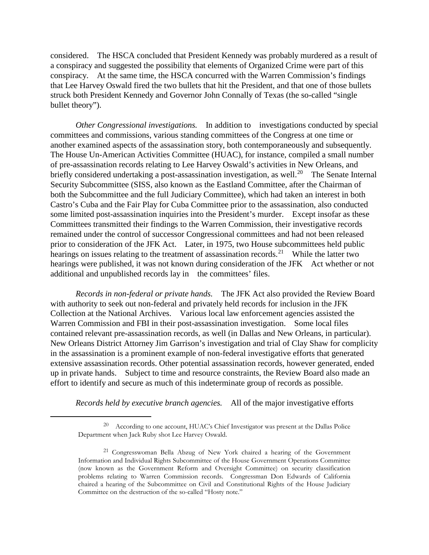considered. The HSCA concluded that President Kennedy was probably murdered as a result of a conspiracy and suggested the possibility that elements of Organized Crime were part of this conspiracy. At the same time, the HSCA concurred with the Warren Commission's findings that Lee Harvey Oswald fired the two bullets that hit the President, and that one of those bullets struck both President Kennedy and Governor John Connally of Texas (the so-called "single bullet theory").

*Other Congressional investigations.* In addition to investigations conducted by special committees and commissions, various standing committees of the Congress at one time or another examined aspects of the assassination story, both contemporaneously and subsequently. The House Un-American Activities Committee (HUAC), for instance, compiled a small number of pre-assassination records relating to Lee Harvey Oswald's activities in New Orleans, and briefly considered undertaking a post-assassination investigation, as well.<sup>[20](#page-7-0)</sup> The Senate Internal Security Subcommittee (SISS, also known as the Eastland Committee, after the Chairman of both the Subcommittee and the full Judiciary Committee), which had taken an interest in both Castro's Cuba and the Fair Play for Cuba Committee prior to the assassination, also conducted some limited post-assassination inquiries into the President's murder. Except insofar as these Committees transmitted their findings to the Warren Commission, their investigative records remained under the control of successor Congressional committees and had not been released prior to consideration of the JFK Act. Later, in 1975, two House subcommittees held public hearings on issues relating to the treatment of assassination records.<sup>[21](#page-7-1)</sup> While the latter two hearings were published, it was not known during consideration of the JFK Act whether or not additional and unpublished records lay in the committees' files.

*Records in non-federal or private hands.* The JFK Act also provided the Review Board with authority to seek out non-federal and privately held records for inclusion in the JFK Collection at the National Archives. Various local law enforcement agencies assisted the Warren Commission and FBI in their post-assassination investigation. Some local files contained relevant pre-assassination records, as well (in Dallas and New Orleans, in particular). New Orleans District Attorney Jim Garrison's investigation and trial of Clay Shaw for complicity in the assassination is a prominent example of non-federal investigative efforts that generated extensive assassination records. Other potential assassination records, however generated, ended up in private hands. Subject to time and resource constraints, the Review Board also made an effort to identify and secure as much of this indeterminate group of records as possible.

*Records held by executive branch agencies.* All of the major investigative efforts

<span id="page-7-0"></span><sup>20</sup> According to one account, HUAC's Chief Investigator was present at the Dallas Police Department when Jack Ruby shot Lee Harvey Oswald.

<span id="page-7-1"></span><sup>21</sup> Congresswoman Bella Abzug of New York chaired a hearing of the Government Information and Individual Rights Subcommittee of the House Government Operations Committee (now known as the Government Reform and Oversight Committee) on security classification problems relating to Warren Commission records. Congressman Don Edwards of California chaired a hearing of the Subcommittee on Civil and Constitutional Rights of the House Judiciary Committee on the destruction of the so-called "Hosty note."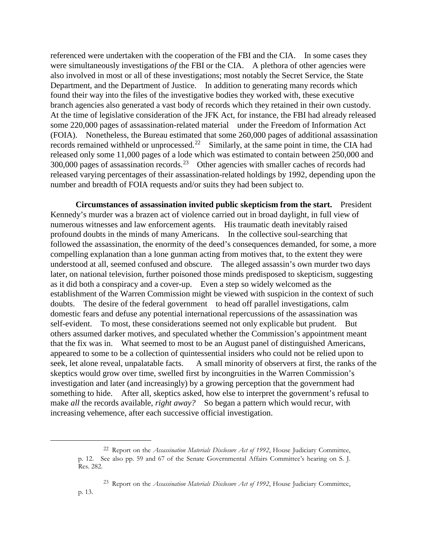referenced were undertaken with the cooperation of the FBI and the CIA. In some cases they were simultaneously investigations *of* the FBI or the CIA. A plethora of other agencies were also involved in most or all of these investigations; most notably the Secret Service, the State Department, and the Department of Justice. In addition to generating many records which found their way into the files of the investigative bodies they worked with, these executive branch agencies also generated a vast body of records which they retained in their own custody. At the time of legislative consideration of the JFK Act, for instance, the FBI had already released some 220,000 pages of assassination-related material under the Freedom of Information Act (FOIA). Nonetheless, the Bureau estimated that some 260,000 pages of additional assassination records remained withheld or unprocessed.<sup>[22](#page-8-0)</sup> Similarly, at the same point in time, the CIA had released only some 11,000 pages of a lode which was estimated to contain between 250,000 and 300,000 pages of assassination records.[23](#page-8-1) Other agencies with smaller caches of records had released varying percentages of their assassination-related holdings by 1992, depending upon the number and breadth of FOIA requests and/or suits they had been subject to.

**Circumstances of assassination invited public skepticism from the start.** President Kennedy's murder was a brazen act of violence carried out in broad daylight, in full view of numerous witnesses and law enforcement agents. His traumatic death inevitably raised profound doubts in the minds of many Americans. In the collective soul-searching that followed the assassination, the enormity of the deed's consequences demanded, for some, a more compelling explanation than a lone gunman acting from motives that, to the extent they were understood at all, seemed confused and obscure. The alleged assassin's own murder two days later, on national television, further poisoned those minds predisposed to skepticism, suggesting as it did both a conspiracy and a cover-up. Even a step so widely welcomed as the establishment of the Warren Commission might be viewed with suspicion in the context of such doubts. The desire of the federal government to head off parallel investigations, calm domestic fears and defuse any potential international repercussions of the assassination was self-evident. To most, these considerations seemed not only explicable but prudent. But others assumed darker motives, and speculated whether the Commission's appointment meant that the fix was in. What seemed to most to be an August panel of distinguished Americans, appeared to some to be a collection of quintessential insiders who could not be relied upon to seek, let alone reveal, unpalatable facts. A small minority of observers at first, the ranks of the skeptics would grow over time, swelled first by incongruities in the Warren Commission's investigation and later (and increasingly) by a growing perception that the government had something to hide. After all, skeptics asked, how else to interpret the government's refusal to make *all* the records available, *right away?* So began a pattern which would recur, with increasing vehemence, after each successive official investigation.

<span id="page-8-0"></span><sup>22</sup> Report on the *Assassination Materials Disclosure Act of 1992*, House Judiciary Committee, p. 12. See also pp. 59 and 67 of the Senate Governmental Affairs Committee's hearing on S. J. Res. 282.

<span id="page-8-1"></span><sup>23</sup> Report on the *Assassination Materials Disclosure Act of 1992*, House Judiciary Committee, p. 13.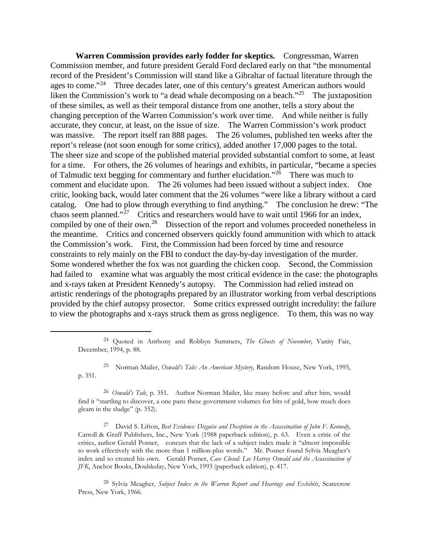**Warren Commission provides early fodder for skeptics.**Congressman, Warren Commission member, and future president Gerald Ford declared early on that "the monumental record of the President's Commission will stand like a Gibraltar of factual literature through the ages to come."<sup>[24](#page-9-0)</sup> Three decades later, one of this century's greatest American authors would liken the Commission's work to "a dead whale decomposing on a beach."<sup>[25](#page-9-1)</sup> The juxtaposition of these similes, as well as their temporal distance from one another, tells a story about the changing perception of the Warren Commission's work over time. And while neither is fully accurate, they concur, at least, on the issue of size. The Warren Commission's work product was massive. The report itself ran 888 pages. The 26 volumes, published ten weeks after the report's release (not soon enough for some critics), added another 17,000 pages to the total. The sheer size and scope of the published material provided substantial comfort to some, at least for a time. For others, the 26 volumes of hearings and exhibits, in particular, "became a species of Talmudic text begging for commentary and further elucidation."<sup>26</sup> There was much to comment and elucidate upon. The 26 volumes had been issued without a subject index. One critic, looking back, would later comment that the 26 volumes "were like a library without a card catalog. One had to plow through everything to find anything." The conclusion he drew: "The chaos seem planned."<sup> $27$ </sup> Critics and researchers would have to wait until 1966 for an index, compiled by one of their own.<sup>28</sup> Dissection of the report and volumes proceeded nonetheless in the meantime. Critics and concerned observers quickly found ammunition with which to attack the Commission's work. First, the Commission had been forced by time and resource constraints to rely mainly on the FBI to conduct the day-by-day investigation of the murder. Some wondered whether the fox was not guarding the chicken coop. Second, the Commission had failed to examine what was arguably the most critical evidence in the case: the photographs and x-rays taken at President Kennedy's autopsy. The Commission had relied instead on artistic renderings of the photographs prepared by an illustrator working from verbal descriptions provided by the chief autopsy prosector. Some critics expressed outright incredulity: the failure to view the photographs and x-rays struck them as gross negligence. To them, this was no way

<span id="page-9-1"></span><span id="page-9-0"></span> $\overline{a}$ 

<span id="page-9-4"></span><sup>28</sup> Sylvia Meagher, *Subject Index to the Warren Report and Hearings and Exhibits*, Scarecrow Press, New York, 1966.

<sup>24</sup> Quoted in Anthony and Robbyn Summers, *The Ghosts of November*, Vanity Fair, December, 1994, p. 88.

<sup>25</sup> Norman Mailer, *Oswald's Tale: An American Mystery*, Random House, New York, 1995, p. 351.

<span id="page-9-2"></span><sup>26</sup> *Oswald's Tale*, p. 351. Author Norman Mailer, like many before and after him, would find it "startling to discover, a one pans these government volumes for bits of gold, how much does gleam in the sludge" (p. 352).

<span id="page-9-3"></span><sup>27</sup> David S. Lifton, *Best Evidence: Disguise and Deception in the Assassination of John F. Kennedy*, Carroll & Graff Publishers, Inc., New York (1988 paperback edition), p. 63. Even a critic of the critics, author Gerald Posner, concurs that the lack of a subject index made it "almost impossible to work effectively with the more than 1 million-plus words." Mr. Posner found Sylvia Meagher's index and so created his own. Gerald Posner, *Case Closed: Lee Harvey Oswald and the Assassination of JFK*, Anchor Books, Doubleday, New York, 1993 (paperback edition), p. 417.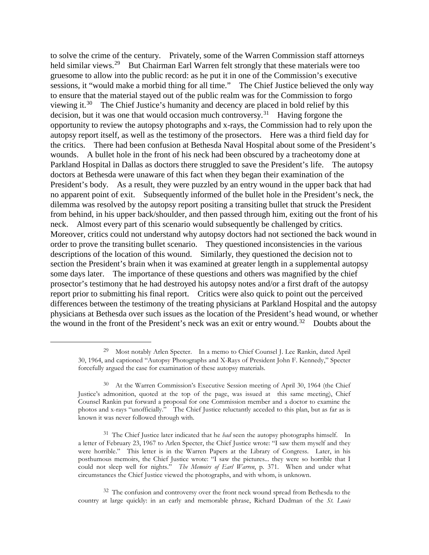to solve the crime of the century. Privately, some of the Warren Commission staff attorneys held similar views.<sup>[29](#page-10-0)</sup> But Chairman Earl Warren felt strongly that these materials were too gruesome to allow into the public record: as he put it in one of the Commission's executive sessions, it "would make a morbid thing for all time." The Chief Justice believed the only way to ensure that the material stayed out of the public realm was for the Commission to forgo viewing it.<sup>30</sup> The Chief Justice's humanity and decency are placed in bold relief by this decision, but it was one that would occasion much controversy.<sup>[31](#page-10-2)</sup> Having forgone the opportunity to review the autopsy photographs and x-rays, the Commission had to rely upon the autopsy report itself, as well as the testimony of the prosectors. Here was a third field day for the critics. There had been confusion at Bethesda Naval Hospital about some of the President's wounds. A bullet hole in the front of his neck had been obscured by a tracheotomy done at Parkland Hospital in Dallas as doctors there struggled to save the President's life. The autopsy doctors at Bethesda were unaware of this fact when they began their examination of the President's body. As a result, they were puzzled by an entry wound in the upper back that had no apparent point of exit. Subsequently informed of the bullet hole in the President's neck, the dilemma was resolved by the autopsy report positing a transiting bullet that struck the President from behind, in his upper back/shoulder, and then passed through him, exiting out the front of his neck. Almost every part of this scenario would subsequently be challenged by critics. Moreover, critics could not understand why autopsy doctors had not sectioned the back wound in order to prove the transiting bullet scenario. They questioned inconsistencies in the various descriptions of the location of this wound. Similarly, they questioned the decision not to section the President's brain when it was examined at greater length in a supplemental autopsy some days later. The importance of these questions and others was magnified by the chief prosector's testimony that he had destroyed his autopsy notes and/or a first draft of the autopsy report prior to submitting his final report. Critics were also quick to point out the perceived differences between the testimony of the treating physicians at Parkland Hospital and the autopsy physicians at Bethesda over such issues as the location of the President's head wound, or whether the wound in the front of the President's neck was an exit or entry wound.<sup>[32](#page-10-3)</sup> Doubts about the

<span id="page-10-0"></span><sup>29</sup> Most notably Arlen Specter. In a memo to Chief Counsel J. Lee Rankin, dated April 30, 1964, and captioned "Autopsy Photographs and X-Rays of President John F. Kennedy," Specter forcefully argued the case for examination of these autopsy materials.

<span id="page-10-1"></span><sup>30</sup> At the Warren Commission's Executive Session meeting of April 30, 1964 (the Chief Justice's admonition, quoted at the top of the page, was issued at this same meeting), Chief Counsel Rankin put forward a proposal for one Commission member and a doctor to examine the photos and x-rays "unofficially." The Chief Justice reluctantly acceded to this plan, but as far as is known it was never followed through with.

<span id="page-10-2"></span><sup>31</sup> The Chief Justice later indicated that he *had* seen the autopsy photographs himself. In a letter of February 23, 1967 to Arlen Specter, the Chief Justice wrote: "I saw them myself and they were horrible." This letter is in the Warren Papers at the Library of Congress. Later, in his posthumous memoirs, the Chief Justice wrote: "I saw the pictures... they were so horrible that I could not sleep well for nights." *The Memoirs of Earl Warren*, p. 371. When and under what circumstances the Chief Justice viewed the photographs, and with whom, is unknown.

<span id="page-10-3"></span><sup>32</sup> The confusion and controversy over the front neck wound spread from Bethesda to the country at large quickly: in an early and memorable phrase, Richard Dudman of the *St. Louis*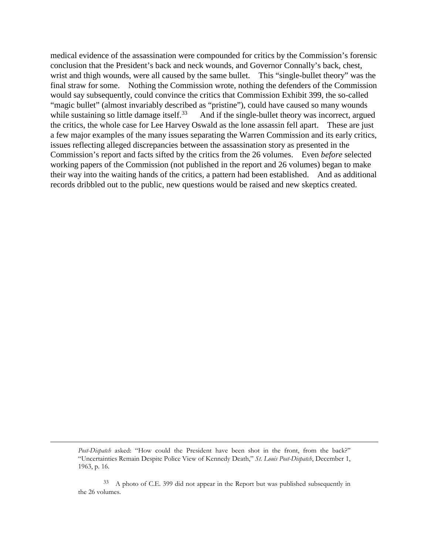medical evidence of the assassination were compounded for critics by the Commission's forensic conclusion that the President's back and neck wounds, and Governor Connally's back, chest, wrist and thigh wounds, were all caused by the same bullet. This "single-bullet theory" was the final straw for some. Nothing the Commission wrote, nothing the defenders of the Commission would say subsequently, could convince the critics that Commission Exhibit 399, the so-called "magic bullet" (almost invariably described as "pristine"), could have caused so many wounds while sustaining so little damage itself.<sup>[33](#page-11-0)</sup> And if the single-bullet theory was incorrect, argued the critics, the whole case for Lee Harvey Oswald as the lone assassin fell apart. These are just a few major examples of the many issues separating the Warren Commission and its early critics, issues reflecting alleged discrepancies between the assassination story as presented in the Commission's report and facts sifted by the critics from the 26 volumes. Even *before* selected working papers of the Commission (not published in the report and 26 volumes) began to make their way into the waiting hands of the critics, a pattern had been established. And as additional records dribbled out to the public, new questions would be raised and new skeptics created.

*Post-Dispatch* asked: "How could the President have been shot in the front, from the back?" "Uncertainties Remain Despite Police View of Kennedy Death," *St. Louis Post-Dispatch*, December 1, 1963, p. 16.

<span id="page-11-0"></span><sup>33</sup> A photo of C.E. 399 did not appear in the Report but was published subsequently in the 26 volumes.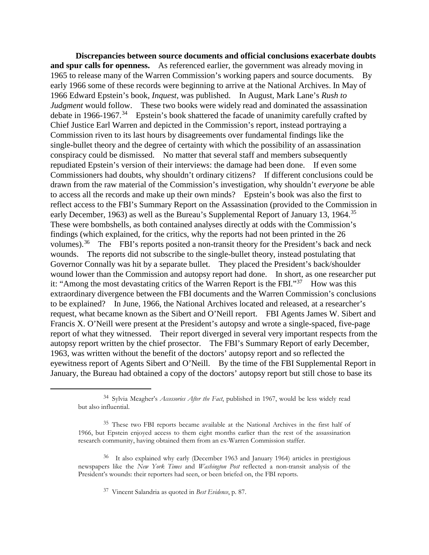**Discrepancies between source documents and official conclusions exacerbate doubts and spur calls for openness.** As referenced earlier, the government was already moving in 1965 to release many of the Warren Commission's working papers and source documents. By early 1966 some of these records were beginning to arrive at the National Archives. In May of 1966 Edward Epstein's book, *Inquest*, was published. In August, Mark Lane's *Rush to Judgment* would follow. These two books were widely read and dominated the assassination debate in 1966-1967.<sup>34</sup> Epstein's book shattered the facade of unanimity carefully crafted by Chief Justice Earl Warren and depicted in the Commission's report, instead portraying a Commission riven to its last hours by disagreements over fundamental findings like the single-bullet theory and the degree of certainty with which the possibility of an assassination conspiracy could be dismissed. No matter that several staff and members subsequently repudiated Epstein's version of their interviews: the damage had been done. If even some Commissioners had doubts, why shouldn't ordinary citizens? If different conclusions could be drawn from the raw material of the Commission's investigation, why shouldn't *everyone* be able to access all the records and make up their own minds? Epstein's book was also the first to reflect access to the FBI's Summary Report on the Assassination (provided to the Commission in early December, 1963) as well as the Bureau's Supplemental Report of January 13, 1964.<sup>35</sup> These were bombshells, as both contained analyses directly at odds with the Commission's findings (which explained, for the critics, why the reports had not been printed in the 26 volumes).<sup>[36](#page-12-2)</sup> The FBI's reports posited a non-transit theory for the President's back and neck wounds. The reports did not subscribe to the single-bullet theory, instead postulating that Governor Connally was hit by a separate bullet. They placed the President's back/shoulder wound lower than the Commission and autopsy report had done. In short, as one researcher put it: "Among the most devastating critics of the Warren Report is the FBI."<sup>37</sup> How was this extraordinary divergence between the FBI documents and the Warren Commission's conclusions to be explained? In June, 1966, the National Archives located and released, at a researcher's request, what became known as the Sibert and O'Neill report. FBI Agents James W. Sibert and Francis X. O'Neill were present at the President's autopsy and wrote a single-spaced, five-page report of what they witnessed. Their report diverged in several very important respects from the autopsy report written by the chief prosector. The FBI's Summary Report of early December, 1963, was written without the benefit of the doctors' autopsy report and so reflected the eyewitness report of Agents Sibert and O'Neill. By the time of the FBI Supplemental Report in January, the Bureau had obtained a copy of the doctors' autopsy report but still chose to base its

<span id="page-12-0"></span><sup>34</sup> Sylvia Meagher's *Accessories After the Fact*, published in 1967, would be less widely read but also influential.

<span id="page-12-1"></span><sup>35</sup> These two FBI reports became available at the National Archives in the first half of 1966, but Epstein enjoyed access to them eight months earlier than the rest of the assassination research community, having obtained them from an ex-Warren Commission staffer.

<span id="page-12-3"></span><span id="page-12-2"></span><sup>36</sup> It also explained why early (December 1963 and January 1964) articles in prestigious newspapers like the *New York Times* and *Washington Post* reflected a non-transit analysis of the President's wounds: their reporters had seen, or been briefed on, the FBI reports.

<sup>37</sup> Vincent Salandria as quoted in *Best Evidence*, p. 87.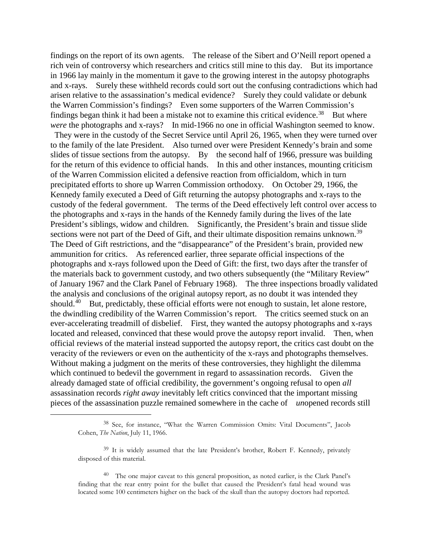findings on the report of its own agents. The release of the Sibert and O'Neill report opened a rich vein of controversy which researchers and critics still mine to this day. But its importance in 1966 lay mainly in the momentum it gave to the growing interest in the autopsy photographs and x-rays. Surely these withheld records could sort out the confusing contradictions which had arisen relative to the assassination's medical evidence? Surely they could validate or debunk the Warren Commission's findings? Even some supporters of the Warren Commission's findings began think it had been a mistake not to examine this critical evidence.<sup>[38](#page-13-0)</sup> But where *were* the photographs and x-rays? In mid-1966 no one in official Washington seemed to know.

They were in the custody of the Secret Service until April 26, 1965, when they were turned over to the family of the late President. Also turned over were President Kennedy's brain and some slides of tissue sections from the autopsy. By the second half of 1966, pressure was building for the return of this evidence to official hands. In this and other instances, mounting criticism of the Warren Commission elicited a defensive reaction from officialdom, which in turn precipitated efforts to shore up Warren Commission orthodoxy. On October 29, 1966, the Kennedy family executed a Deed of Gift returning the autopsy photographs and x-rays to the custody of the federal government. The terms of the Deed effectively left control over access to the photographs and x-rays in the hands of the Kennedy family during the lives of the late President's siblings, widow and children. Significantly, the President's brain and tissue slide sections were not part of the Deed of Gift, and their ultimate disposition remains unknown.<sup>[39](#page-13-1)</sup> The Deed of Gift restrictions, and the "disappearance" of the President's brain, provided new ammunition for critics. As referenced earlier, three separate official inspections of the photographs and x-rays followed upon the Deed of Gift: the first, two days after the transfer of the materials back to government custody, and two others subsequently (the "Military Review" of January 1967 and the Clark Panel of February 1968). The three inspections broadly validated the analysis and conclusions of the original autopsy report, as no doubt it was intended they should. $40$  But, predictably, these official efforts were not enough to sustain, let alone restore, the dwindling credibility of the Warren Commission's report. The critics seemed stuck on an ever-accelerating treadmill of disbelief. First, they wanted the autopsy photographs and x-rays located and released, convinced that these would prove the autopsy report invalid. Then, when official reviews of the material instead supported the autopsy report, the critics cast doubt on the veracity of the reviewers or even on the authenticity of the x-rays and photographs themselves. Without making a judgment on the merits of these controversies, they highlight the dilemma which continued to bedevil the government in regard to assassination records. Given the already damaged state of official credibility, the government's ongoing refusal to open *all*  assassination records *right away* inevitably left critics convinced that the important missing pieces of the assassination puzzle remained somewhere in the cache of *un*opened records still

<span id="page-13-0"></span><sup>38</sup> See, for instance, "What the Warren Commission Omits: Vital Documents", Jacob Cohen, *The Nation*, July 11, 1966.

<span id="page-13-1"></span><sup>39</sup> It is widely assumed that the late President's brother, Robert F. Kennedy, privately disposed of this material.

<span id="page-13-2"></span><sup>40</sup> The one major caveat to this general proposition, as noted earlier, is the Clark Panel's finding that the rear entry point for the bullet that caused the President's fatal head wound was located some 100 centimeters higher on the back of the skull than the autopsy doctors had reported.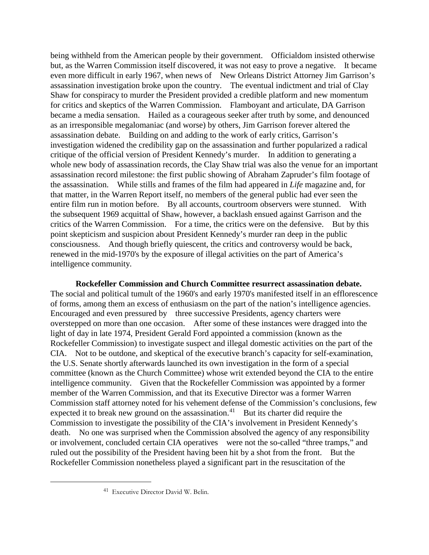being withheld from the American people by their government. Officialdom insisted otherwise but, as the Warren Commission itself discovered, it was not easy to prove a negative. It became even more difficult in early 1967, when news of New Orleans District Attorney Jim Garrison's assassination investigation broke upon the country. The eventual indictment and trial of Clay Shaw for conspiracy to murder the President provided a credible platform and new momentum for critics and skeptics of the Warren Commission. Flamboyant and articulate, DA Garrison became a media sensation. Hailed as a courageous seeker after truth by some, and denounced as an irresponsible megalomaniac (and worse) by others, Jim Garrison forever altered the assassination debate. Building on and adding to the work of early critics, Garrison's investigation widened the credibility gap on the assassination and further popularized a radical critique of the official version of President Kennedy's murder. In addition to generating a whole new body of assassination records, the Clay Shaw trial was also the venue for an important assassination record milestone: the first public showing of Abraham Zapruder's film footage of the assassination. While stills and frames of the film had appeared in *Life* magazine and, for that matter, in the Warren Report itself, no members of the general public had ever seen the entire film run in motion before. By all accounts, courtroom observers were stunned. With the subsequent 1969 acquittal of Shaw, however, a backlash ensued against Garrison and the critics of the Warren Commission. For a time, the critics were on the defensive. But by this point skepticism and suspicion about President Kennedy's murder ran deep in the public consciousness. And though briefly quiescent, the critics and controversy would be back, renewed in the mid-1970's by the exposure of illegal activities on the part of America's intelligence community.

**Rockefeller Commission and Church Committee resurrect assassination debate.**  The social and political tumult of the 1960's and early 1970's manifested itself in an efflorescence of forms, among them an excess of enthusiasm on the part of the nation's intelligence agencies. Encouraged and even pressured by three successive Presidents, agency charters were overstepped on more than one occasion. After some of these instances were dragged into the light of day in late 1974, President Gerald Ford appointed a commission (known as the Rockefeller Commission) to investigate suspect and illegal domestic activities on the part of the CIA. Not to be outdone, and skeptical of the executive branch's capacity for self-examination, the U.S. Senate shortly afterwards launched its own investigation in the form of a special committee (known as the Church Committee) whose writ extended beyond the CIA to the entire intelligence community. Given that the Rockefeller Commission was appointed by a former member of the Warren Commission, and that its Executive Director was a former Warren Commission staff attorney noted for his vehement defense of the Commission's conclusions, few expected it to break new ground on the assassination.<sup>41</sup> But its charter did require the Commission to investigate the possibility of the CIA's involvement in President Kennedy's death. No one was surprised when the Commission absolved the agency of any responsibility or involvement, concluded certain CIA operatives were not the so-called "three tramps," and ruled out the possibility of the President having been hit by a shot from the front. But the Rockefeller Commission nonetheless played a significant part in the resuscitation of the

<span id="page-14-0"></span><sup>41</sup> Executive Director David W. Belin.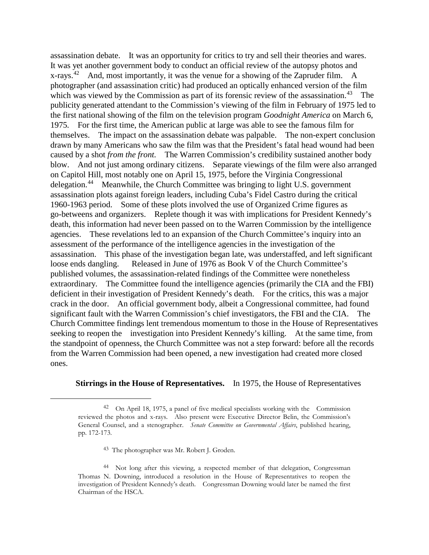assassination debate. It was an opportunity for critics to try and sell their theories and wares. It was yet another government body to conduct an official review of the autopsy photos and x-rays.<sup>[42](#page-15-0)</sup> And, most importantly, it was the venue for a showing of the Zapruder film. A photographer (and assassination critic) had produced an optically enhanced version of the film which was viewed by the Commission as part of its forensic review of the assassination.<sup>[43](#page-15-1)</sup> The publicity generated attendant to the Commission's viewing of the film in February of 1975 led to the first national showing of the film on the television program *Goodnight America* on March 6, 1975*.* For the first time, the American public at large was able to see the famous film for themselves. The impact on the assassination debate was palpable. The non-expert conclusion drawn by many Americans who saw the film was that the President's fatal head wound had been caused by a shot *from the front.* The Warren Commission's credibility sustained another body blow. And not just among ordinary citizens. Separate viewings of the film were also arranged on Capitol Hill, most notably one on April 15, 1975, before the Virginia Congressional delegation.[44](#page-15-2) Meanwhile, the Church Committee was bringing to light U.S. government assassination plots against foreign leaders, including Cuba's Fidel Castro during the critical 1960-1963 period. Some of these plots involved the use of Organized Crime figures as go-betweens and organizers. Replete though it was with implications for President Kennedy's death, this information had never been passed on to the Warren Commission by the intelligence agencies. These revelations led to an expansion of the Church Committee's inquiry into an assessment of the performance of the intelligence agencies in the investigation of the assassination. This phase of the investigation began late, was understaffed, and left significant loose ends dangling. Released in June of 1976 as Book V of the Church Committee's published volumes, the assassination-related findings of the Committee were nonetheless extraordinary. The Committee found the intelligence agencies (primarily the CIA and the FBI) deficient in their investigation of President Kennedy's death. For the critics, this was a major crack in the door. An official government body, albeit a Congressional committee, had found significant fault with the Warren Commission's chief investigators, the FBI and the CIA. The Church Committee findings lent tremendous momentum to those in the House of Representatives seeking to reopen the investigation into President Kennedy's killing. At the same time, from the standpoint of openness, the Church Committee was not a step forward: before all the records from the Warren Commission had been opened, a new investigation had created more closed ones.

## **Stirrings in the House of Representatives.** In 1975, the House of Representatives

<sup>43</sup> The photographer was Mr. Robert J. Groden.

<span id="page-15-0"></span><sup>42</sup> On April 18, 1975, a panel of five medical specialists working with the Commission reviewed the photos and x-rays. Also present were Executive Director Belin, the Commission's General Counsel, and a stenographer. *Senate Committee on Governmental Affairs*, published hearing, pp. 172-173.

<span id="page-15-2"></span><span id="page-15-1"></span><sup>44</sup> Not long after this viewing, a respected member of that delegation, Congressman Thomas N. Downing, introduced a resolution in the House of Representatives to reopen the investigation of President Kennedy's death. Congressman Downing would later be named the first Chairman of the HSCA.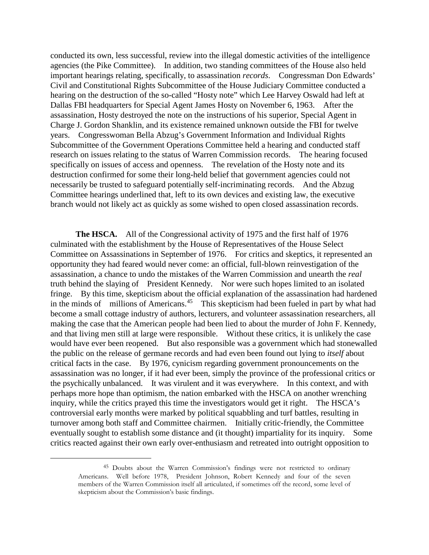conducted its own, less successful, review into the illegal domestic activities of the intelligence agencies (the Pike Committee). In addition, two standing committees of the House also held important hearings relating, specifically, to assassination *records*. Congressman Don Edwards' Civil and Constitutional Rights Subcommittee of the House Judiciary Committee conducted a hearing on the destruction of the so-called "Hosty note" which Lee Harvey Oswald had left at Dallas FBI headquarters for Special Agent James Hosty on November 6, 1963. After the assassination, Hosty destroyed the note on the instructions of his superior, Special Agent in Charge J. Gordon Shanklin, and its existence remained unknown outside the FBI for twelve years. Congresswoman Bella Abzug's Government Information and Individual Rights Subcommittee of the Government Operations Committee held a hearing and conducted staff research on issues relating to the status of Warren Commission records. The hearing focused specifically on issues of access and openness. The revelation of the Hosty note and its destruction confirmed for some their long-held belief that government agencies could not necessarily be trusted to safeguard potentially self-incriminating records. And the Abzug Committee hearings underlined that, left to its own devices and existing law, the executive branch would not likely act as quickly as some wished to open closed assassination records.

**The HSCA.** All of the Congressional activity of 1975 and the first half of 1976 culminated with the establishment by the House of Representatives of the House Select Committee on Assassinations in September of 1976. For critics and skeptics, it represented an opportunity they had feared would never come: an official, full-blown reinvestigation of the assassination, a chance to undo the mistakes of the Warren Commission and unearth the *real*  truth behind the slaying of President Kennedy. Nor were such hopes limited to an isolated fringe. By this time, skepticism about the official explanation of the assassination had hardened in the minds of millions of Americans.[45](#page-16-0) This skepticism had been fueled in part by what had become a small cottage industry of authors, lecturers, and volunteer assassination researchers, all making the case that the American people had been lied to about the murder of John F. Kennedy, and that living men still at large were responsible. Without these critics, it is unlikely the case would have ever been reopened. But also responsible was a government which had stonewalled the public on the release of germane records and had even been found out lying to *itself* about critical facts in the case. By 1976, cynicism regarding government pronouncements on the assassination was no longer, if it had ever been, simply the province of the professional critics or the psychically unbalanced. It was virulent and it was everywhere. In this context, and with perhaps more hope than optimism, the nation embarked with the HSCA on another wrenching inquiry, while the critics prayed this time the investigators would get it right. The HSCA's controversial early months were marked by political squabbling and turf battles, resulting in turnover among both staff and Committee chairmen. Initially critic-friendly, the Committee eventually sought to establish some distance and (it thought) impartiality for its inquiry. Some critics reacted against their own early over-enthusiasm and retreated into outright opposition to

<span id="page-16-0"></span><sup>45</sup> Doubts about the Warren Commission's findings were not restricted to ordinary Americans. Well before 1978, President Johnson, Robert Kennedy and four of the seven members of the Warren Commission itself all articulated, if sometimes off the record, some level of skepticism about the Commission's basic findings.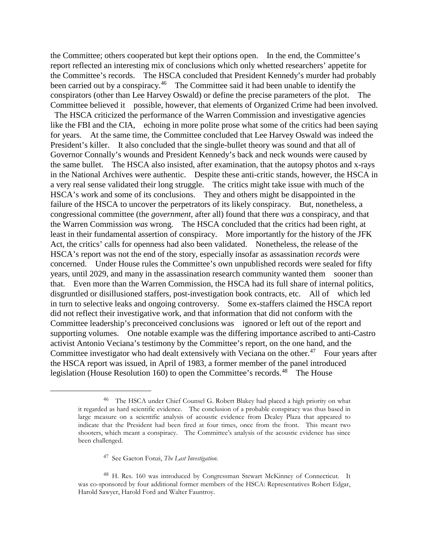the Committee; others cooperated but kept their options open. In the end, the Committee's report reflected an interesting mix of conclusions which only whetted researchers' appetite for the Committee's records. The HSCA concluded that President Kennedy's murder had probably been carried out by a conspiracy.<sup>46</sup> The Committee said it had been unable to identify the conspirators (other than Lee Harvey Oswald) or define the precise parameters of the plot. The Committee believed it possible, however, that elements of Organized Crime had been involved.

The HSCA criticized the performance of the Warren Commission and investigative agencies like the FBI and the CIA, echoing in more polite prose what some of the critics had been saying for years. At the same time, the Committee concluded that Lee Harvey Oswald was indeed the President's killer. It also concluded that the single-bullet theory was sound and that all of Governor Connally's wounds and President Kennedy's back and neck wounds were caused by the same bullet. The HSCA also insisted, after examination, that the autopsy photos and x-rays in the National Archives were authentic. Despite these anti-critic stands, however, the HSCA in a very real sense validated their long struggle. The critics might take issue with much of the HSCA's work and some of its conclusions. They and others might be disappointed in the failure of the HSCA to uncover the perpetrators of its likely conspiracy. But, nonetheless, a congressional committee (the *government*, after all) found that there *was* a conspiracy, and that the Warren Commission *was* wrong. The HSCA concluded that the critics had been right, at least in their fundamental assertion of conspiracy. More importantly for the history of the JFK Act, the critics' calls for openness had also been validated. Nonetheless, the release of the HSCA's report was not the end of the story, especially insofar as assassination *records* were concerned. Under House rules the Committee's own unpublished records were sealed for fifty years, until 2029, and many in the assassination research community wanted them sooner than that. Even more than the Warren Commission, the HSCA had its full share of internal politics, disgruntled or disillusioned staffers, post-investigation book contracts, etc. All of which led in turn to selective leaks and ongoing controversy. Some ex-staffers claimed the HSCA report did not reflect their investigative work, and that information that did not conform with the Committee leadership's preconceived conclusions was ignored or left out of the report and supporting volumes. One notable example was the differing importance ascribed to anti-Castro activist Antonio Veciana's testimony by the Committee's report, on the one hand, and the Committee investigator who had dealt extensively with Veciana on the other.<sup>47</sup> Four years after the HSCA report was issued, in April of 1983, a former member of the panel introduced legislation (House Resolution 160) to open the Committee's records.<sup>[48](#page-17-2)</sup> The House

<sup>47</sup> See Gaeton Fonzi, *The Last Investigation*.

<span id="page-17-0"></span><sup>46</sup> The HSCA under Chief Counsel G. Robert Blakey had placed a high priority on what it regarded as hard scientific evidence. The conclusion of a probable conspiracy was thus based in large measure on a scientific analysis of acoustic evidence from Dealey Plaza that appeared to indicate that the President had been fired at four times, once from the front. This meant two shooters, which meant a conspiracy. The Committee's analysis of the acoustic evidence has since been challenged.

<span id="page-17-2"></span><span id="page-17-1"></span><sup>48</sup> H. Res. 160 was introduced by Congressman Stewart McKinney of Connecticut. It was co-sponsored by four additional former members of the HSCA: Representatives Robert Edgar, Harold Sawyer, Harold Ford and Walter Fauntroy.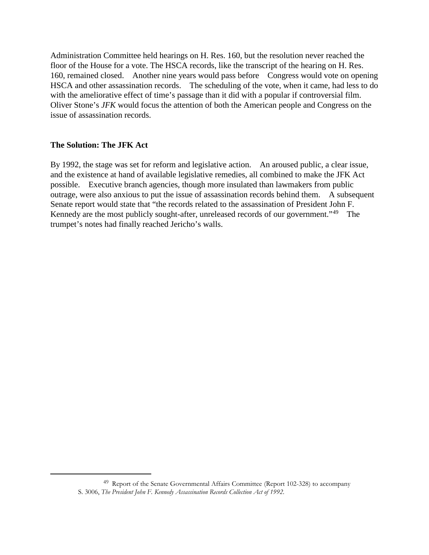Administration Committee held hearings on H. Res. 160, but the resolution never reached the floor of the House for a vote. The HSCA records, like the transcript of the hearing on H. Res. 160, remained closed. Another nine years would pass before Congress would vote on opening HSCA and other assassination records. The scheduling of the vote, when it came, had less to do with the ameliorative effect of time's passage than it did with a popular if controversial film. Oliver Stone's *JFK* would focus the attention of both the American people and Congress on the issue of assassination records.

## **The Solution: The JFK Act**

<span id="page-18-0"></span> $\overline{a}$ 

By 1992, the stage was set for reform and legislative action. An aroused public, a clear issue, and the existence at hand of available legislative remedies, all combined to make the JFK Act possible. Executive branch agencies, though more insulated than lawmakers from public outrage, were also anxious to put the issue of assassination records behind them. A subsequent Senate report would state that "the records related to the assassination of President John F. Kennedy are the most publicly sought-after, unreleased records of our government."<sup>[49](#page-18-0)</sup> The trumpet's notes had finally reached Jericho's walls.

<sup>49</sup> Report of the Senate Governmental Affairs Committee (Report 102-328) to accompany S. 3006, *The President John F. Kennedy Assassination Records Collection Act of 1992.*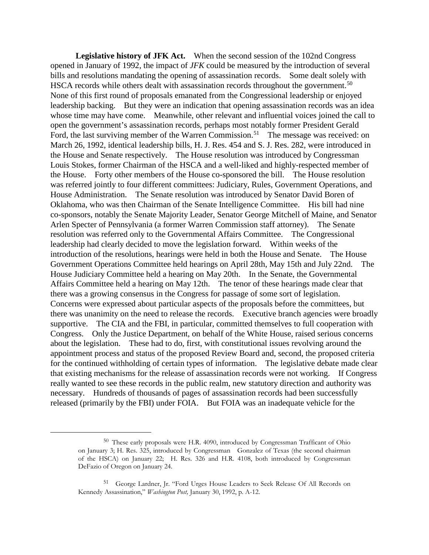**Legislative history of JFK Act.** When the second session of the 102nd Congress opened in January of 1992, the impact of *JFK* could be measured by the introduction of several bills and resolutions mandating the opening of assassination records. Some dealt solely with HSCA records while others dealt with assassination records throughout the government.<sup>[50](#page-19-0)</sup> None of this first round of proposals emanated from the Congressional leadership or enjoyed leadership backing. But they were an indication that opening assassination records was an idea whose time may have come. Meanwhile, other relevant and influential voices joined the call to open the government's assassination records, perhaps most notably former President Gerald Ford, the last surviving member of the Warren Commission.<sup>[51](#page-19-1)</sup> The message was received: on March 26, 1992, identical leadership bills, H. J. Res. 454 and S. J. Res. 282, were introduced in the House and Senate respectively. The House resolution was introduced by Congressman Louis Stokes, former Chairman of the HSCA and a well-liked and highly-respected member of the House. Forty other members of the House co-sponsored the bill. The House resolution was referred jointly to four different committees: Judiciary, Rules, Government Operations, and House Administration. The Senate resolution was introduced by Senator David Boren of Oklahoma, who was then Chairman of the Senate Intelligence Committee. His bill had nine co-sponsors, notably the Senate Majority Leader, Senator George Mitchell of Maine, and Senator Arlen Specter of Pennsylvania (a former Warren Commission staff attorney). The Senate resolution was referred only to the Governmental Affairs Committee. The Congressional leadership had clearly decided to move the legislation forward. Within weeks of the introduction of the resolutions, hearings were held in both the House and Senate. The House Government Operations Committee held hearings on April 28th, May 15th and July 22nd. The House Judiciary Committee held a hearing on May 20th. In the Senate, the Governmental Affairs Committee held a hearing on May 12th. The tenor of these hearings made clear that there was a growing consensus in the Congress for passage of some sort of legislation. Concerns were expressed about particular aspects of the proposals before the committees, but there was unanimity on the need to release the records. Executive branch agencies were broadly supportive. The CIA and the FBI, in particular, committed themselves to full cooperation with Congress. Only the Justice Department, on behalf of the White House, raised serious concerns about the legislation. These had to do, first, with constitutional issues revolving around the appointment process and status of the proposed Review Board and, second, the proposed criteria for the continued withholding of certain types of information. The legislative debate made clear that existing mechanisms for the release of assassination records were not working. If Congress really wanted to see these records in the public realm, new statutory direction and authority was necessary. Hundreds of thousands of pages of assassination records had been successfully released (primarily by the FBI) under FOIA. But FOIA was an inadequate vehicle for the

<span id="page-19-0"></span><sup>50</sup> These early proposals were H.R. 4090, introduced by Congressman Trafficant of Ohio on January 3; H. Res. 325, introduced by Congressman Gonzalez of Texas (the second chairman of the HSCA) on January 22; H. Res. 326 and H.R. 4108, both introduced by Congressman DeFazio of Oregon on January 24.

<span id="page-19-1"></span><sup>51</sup> George Lardner, Jr. "Ford Urges House Leaders to Seek Release Of All Records on Kennedy Assassination," *Washington Post,* January 30, 1992, p. A-12.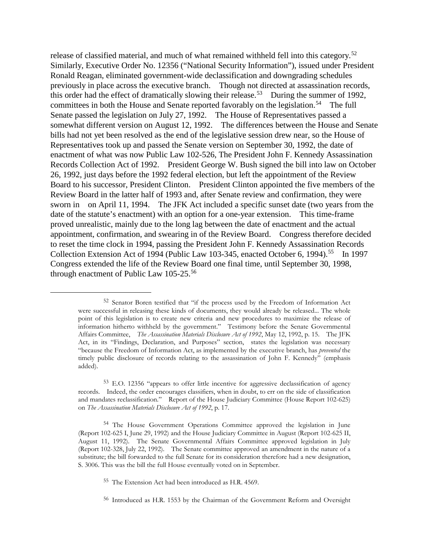release of classified material, and much of what remained withheld fell into this category.<sup>[52](#page-20-0)</sup> Similarly, Executive Order No. 12356 ("National Security Information"), issued under President Ronald Reagan, eliminated government-wide declassification and downgrading schedules previously in place across the executive branch. Though not directed at assassination records, this order had the effect of dramatically slowing their release.<sup>53</sup> During the summer of 1992, committees in both the House and Senate reported favorably on the legislation.<sup>54</sup> The full Senate passed the legislation on July 27, 1992. The House of Representatives passed a somewhat different version on August 12, 1992. The differences between the House and Senate bills had not yet been resolved as the end of the legislative session drew near, so the House of Representatives took up and passed the Senate version on September 30, 1992, the date of enactment of what was now Public Law 102-526, The President John F. Kennedy Assassination Records Collection Act of 1992. President George W. Bush signed the bill into law on October 26, 1992, just days before the 1992 federal election, but left the appointment of the Review Board to his successor, President Clinton. President Clinton appointed the five members of the Review Board in the latter half of 1993 and, after Senate review and confirmation, they were sworn in on April 11, 1994. The JFK Act included a specific sunset date (two years from the date of the statute's enactment) with an option for a one-year extension. This time-frame proved unrealistic, mainly due to the long lag between the date of enactment and the actual appointment, confirmation, and swearing in of the Review Board. Congress therefore decided to reset the time clock in 1994, passing the President John F. Kennedy Assassination Records Collection Extension Act of 1994 (Public Law 103-345, enacted October 6, 1994).<sup>[55](#page-20-3)</sup> In 1997 Congress extended the life of the Review Board one final time, until September 30, 1998, through enactment of Public Law 105-25.[56](#page-20-4)

<span id="page-20-0"></span><sup>52</sup> Senator Boren testified that "if the process used by the Freedom of Information Act were successful in releasing these kinds of documents, they would already be released... The whole point of this legislation is to create new criteria and new procedures to maximize the release of information hitherto withheld by the government." Testimony before the Senate Governmental Affairs Committee, *The Assassination Materials Disclosure Act of 1992*, May 12, 1992, p. 15. The JFK Act, in its "Findings, Declaration, and Purposes" section, states the legislation was necessary "because the Freedom of Information Act, as implemented by the executive branch, has *prevented* the timely public disclosure of records relating to the assassination of John F. Kennedy" (emphasis added).

<span id="page-20-1"></span><sup>53</sup> E.O. 12356 "appears to offer little incentive for aggressive declassification of agency records. Indeed, the order encourages classifiers, when in doubt, to err on the side of classification and mandates reclassification." Report of the House Judiciary Committee (House Report 102-625) on *The Assassination Materials Disclosure Act of 1992*, p. 17.

<span id="page-20-3"></span><span id="page-20-2"></span><sup>54</sup> The House Government Operations Committee approved the legislation in June (Report 102-625 I, June 29, 1992) and the House Judiciary Committee in August (Report 102-625 II, August 11, 1992). The Senate Governmental Affairs Committee approved legislation in July (Report 102-328, July 22, 1992). The Senate committee approved an amendment in the nature of a substitute; the bill forwarded to the full Senate for its consideration therefore had a new designation, S. 3006. This was the bill the full House eventually voted on in September.

<sup>55</sup> The Extension Act had been introduced as H.R. 4569.

<span id="page-20-4"></span><sup>56</sup> Introduced as H.R. 1553 by the Chairman of the Government Reform and Oversight